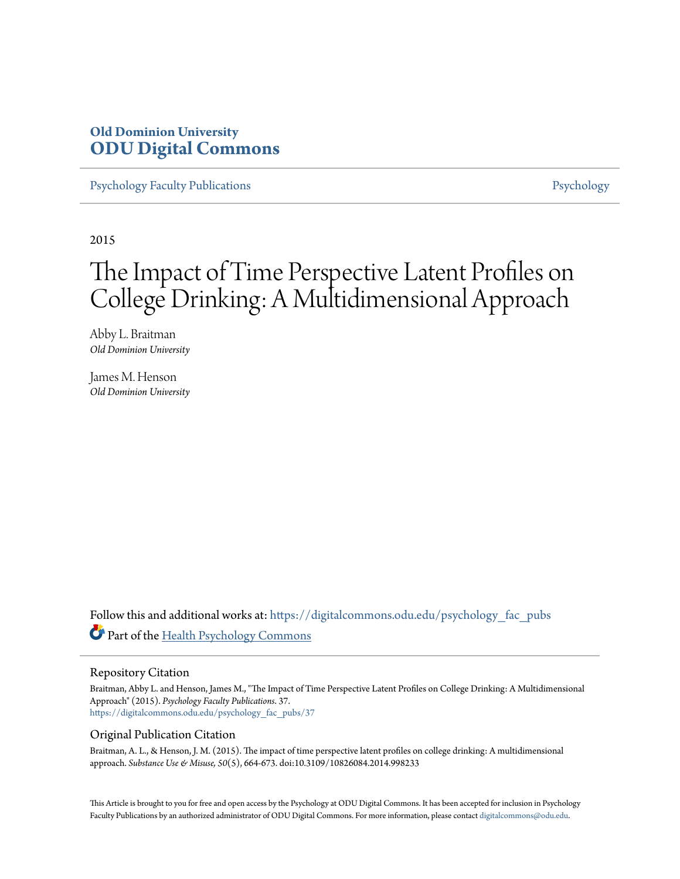# **Old Dominion University [ODU Digital Commons](https://digitalcommons.odu.edu?utm_source=digitalcommons.odu.edu%2Fpsychology_fac_pubs%2F37&utm_medium=PDF&utm_campaign=PDFCoverPages)**

[Psychology Faculty Publications](https://digitalcommons.odu.edu/psychology_fac_pubs?utm_source=digitalcommons.odu.edu%2Fpsychology_fac_pubs%2F37&utm_medium=PDF&utm_campaign=PDFCoverPages) **[Psychology](https://digitalcommons.odu.edu/psychology?utm_source=digitalcommons.odu.edu%2Fpsychology_fac_pubs%2F37&utm_medium=PDF&utm_campaign=PDFCoverPages)** Psychology

2015

# The Impact of Time Perspective Latent Profiles on College Drinking: A Multidimensional Approach

Abby L. Braitman *Old Dominion University*

James M. Henson *Old Dominion University*

Follow this and additional works at: [https://digitalcommons.odu.edu/psychology\\_fac\\_pubs](https://digitalcommons.odu.edu/psychology_fac_pubs?utm_source=digitalcommons.odu.edu%2Fpsychology_fac_pubs%2F37&utm_medium=PDF&utm_campaign=PDFCoverPages) Part of the [Health Psychology Commons](http://network.bepress.com/hgg/discipline/411?utm_source=digitalcommons.odu.edu%2Fpsychology_fac_pubs%2F37&utm_medium=PDF&utm_campaign=PDFCoverPages)

#### Repository Citation

Braitman, Abby L. and Henson, James M., "The Impact of Time Perspective Latent Profiles on College Drinking: A Multidimensional Approach" (2015). *Psychology Faculty Publications*. 37. [https://digitalcommons.odu.edu/psychology\\_fac\\_pubs/37](https://digitalcommons.odu.edu/psychology_fac_pubs/37?utm_source=digitalcommons.odu.edu%2Fpsychology_fac_pubs%2F37&utm_medium=PDF&utm_campaign=PDFCoverPages)

#### Original Publication Citation

Braitman, A. L., & Henson, J. M. (2015). The impact of time perspective latent profiles on college drinking: A multidimensional approach. *Substance Use & Misuse, 50*(5), 664-673. doi:10.3109/10826084.2014.998233

This Article is brought to you for free and open access by the Psychology at ODU Digital Commons. It has been accepted for inclusion in Psychology Faculty Publications by an authorized administrator of ODU Digital Commons. For more information, please contact [digitalcommons@odu.edu.](mailto:digitalcommons@odu.edu)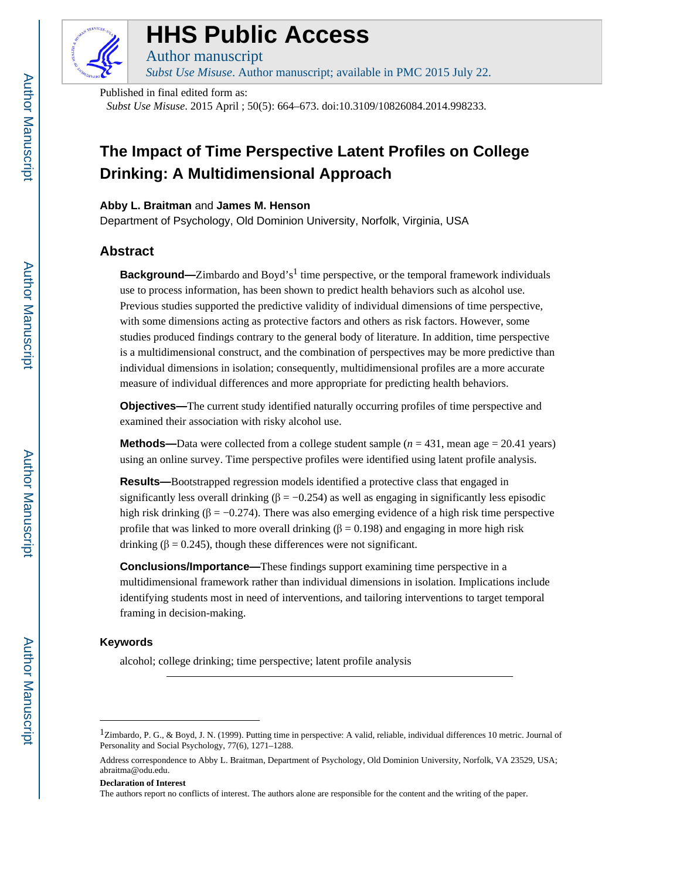

# **HHS Public Access**

Author manuscript *Subst Use Misuse*. Author manuscript; available in PMC 2015 July 22. **HHS Public Access**<br>Author manuscript<br>*Subst Use Misuse*. Author manuscript; available in PMC 2015 July 22.<br>Published in final edited form as:

Published in final edited form as: *Subst Use Misuse*. 2015 April ; 50(5): 664–673. doi:10.3109/10826084.2014.998233.

# **The Impact of Time Perspective Latent Profiles on College Drinking: A Multidimensional Approach**

#### **Abby L. Braitman** and **James M. Henson**

Department of Psychology, Old Dominion University, Norfolk, Virginia, USA

## **Abstract**

**Background—**Zimbardo and Boyd's<sup>1</sup> time perspective, or the temporal framework individuals use to process information, has been shown to predict health behaviors such as alcohol use. Previous studies supported the predictive validity of individual dimensions of time perspective, with some dimensions acting as protective factors and others as risk factors. However, some studies produced findings contrary to the general body of literature. In addition, time perspective is a multidimensional construct, and the combination of perspectives may be more predictive than individual dimensions in isolation; consequently, multidimensional profiles are a more accurate measure of individual differences and more appropriate for predicting health behaviors.

**Objectives—The current study identified naturally occurring profiles of time perspective and** examined their association with risky alcohol use.

**Methods—**Data were collected from a college student sample  $(n = 431, \text{ mean age} = 20.41 \text{ years})$ using an online survey. Time perspective profiles were identified using latent profile analysis.

**Results—**Bootstrapped regression models identified a protective class that engaged in significantly less overall drinking  $(\beta = -0.254)$  as well as engaging in significantly less episodic high risk drinking ( $\beta = -0.274$ ). There was also emerging evidence of a high risk time perspective profile that was linked to more overall drinking  $(\beta = 0.198)$  and engaging in more high risk drinking ( $\beta = 0.245$ ), though these differences were not significant.

**Conclusions/Importance—**These findings support examining time perspective in a multidimensional framework rather than individual dimensions in isolation. Implications include identifying students most in need of interventions, and tailoring interventions to target temporal framing in decision-making.

### **Keywords**

alcohol; college drinking; time perspective; latent profile analysis

**Declaration of Interest**

<sup>&</sup>lt;sup>1</sup>Zimbardo, P. G., & Boyd, J. N. (1999). Putting time in perspective: A valid, reliable, individual differences 10 metric. Journal of Personality and Social Psychology, 77(6), 1271–1288.

Address correspondence to Abby L. Braitman, Department of Psychology, Old Dominion University, Norfolk, VA 23529, USA; abraitma@odu.edu.

The authors report no conflicts of interest. The authors alone are responsible for the content and the writing of the paper.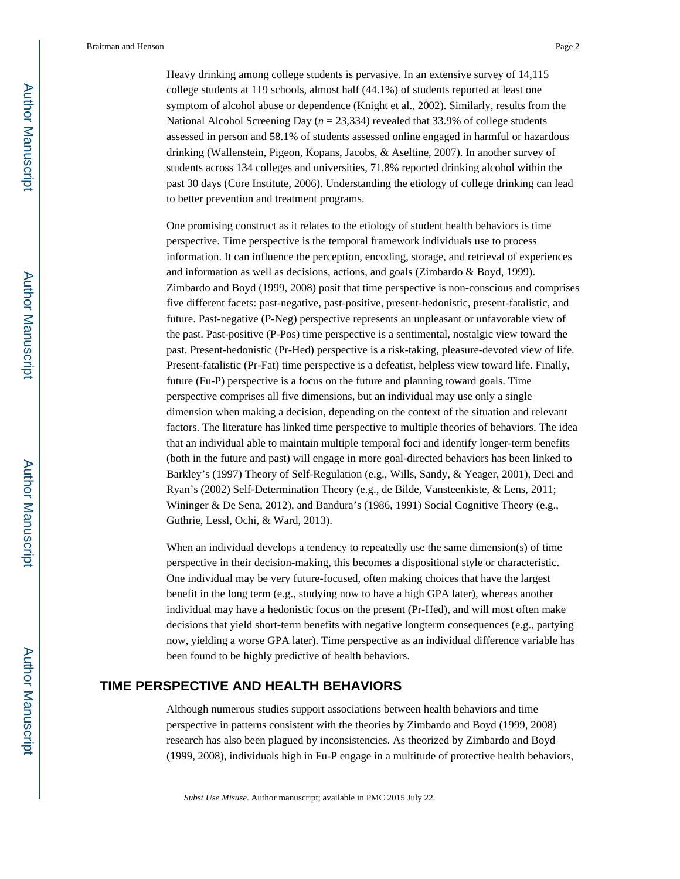Heavy drinking among college students is pervasive. In an extensive survey of 14,115 college students at 119 schools, almost half (44.1%) of students reported at least one symptom of alcohol abuse or dependence (Knight et al., 2002). Similarly, results from the National Alcohol Screening Day (*n* = 23,334) revealed that 33.9% of college students assessed in person and 58.1% of students assessed online engaged in harmful or hazardous drinking (Wallenstein, Pigeon, Kopans, Jacobs, & Aseltine, 2007). In another survey of students across 134 colleges and universities, 71.8% reported drinking alcohol within the past 30 days (Core Institute, 2006). Understanding the etiology of college drinking can lead to better prevention and treatment programs.

One promising construct as it relates to the etiology of student health behaviors is time perspective. Time perspective is the temporal framework individuals use to process information. It can influence the perception, encoding, storage, and retrieval of experiences and information as well as decisions, actions, and goals (Zimbardo & Boyd, 1999). Zimbardo and Boyd (1999, 2008) posit that time perspective is non-conscious and comprises five different facets: past-negative, past-positive, present-hedonistic, present-fatalistic, and future. Past-negative (P-Neg) perspective represents an unpleasant or unfavorable view of the past. Past-positive (P-Pos) time perspective is a sentimental, nostalgic view toward the past. Present-hedonistic (Pr-Hed) perspective is a risk-taking, pleasure-devoted view of life. Present-fatalistic (Pr-Fat) time perspective is a defeatist, helpless view toward life. Finally, future (Fu-P) perspective is a focus on the future and planning toward goals. Time perspective comprises all five dimensions, but an individual may use only a single dimension when making a decision, depending on the context of the situation and relevant factors. The literature has linked time perspective to multiple theories of behaviors. The idea that an individual able to maintain multiple temporal foci and identify longer-term benefits (both in the future and past) will engage in more goal-directed behaviors has been linked to Barkley's (1997) Theory of Self-Regulation (e.g., Wills, Sandy, & Yeager, 2001), Deci and Ryan's (2002) Self-Determination Theory (e.g., de Bilde, Vansteenkiste, & Lens, 2011; Wininger & De Sena, 2012), and Bandura's (1986, 1991) Social Cognitive Theory (e.g., Guthrie, Lessl, Ochi, & Ward, 2013).

When an individual develops a tendency to repeatedly use the same dimension(s) of time perspective in their decision-making, this becomes a dispositional style or characteristic. One individual may be very future-focused, often making choices that have the largest benefit in the long term (e.g., studying now to have a high GPA later), whereas another individual may have a hedonistic focus on the present (Pr-Hed), and will most often make decisions that yield short-term benefits with negative longterm consequences (e.g., partying now, yielding a worse GPA later). Time perspective as an individual difference variable has been found to be highly predictive of health behaviors.

#### **TIME PERSPECTIVE AND HEALTH BEHAVIORS**

Although numerous studies support associations between health behaviors and time perspective in patterns consistent with the theories by Zimbardo and Boyd (1999, 2008) research has also been plagued by inconsistencies. As theorized by Zimbardo and Boyd (1999, 2008), individuals high in Fu-P engage in a multitude of protective health behaviors,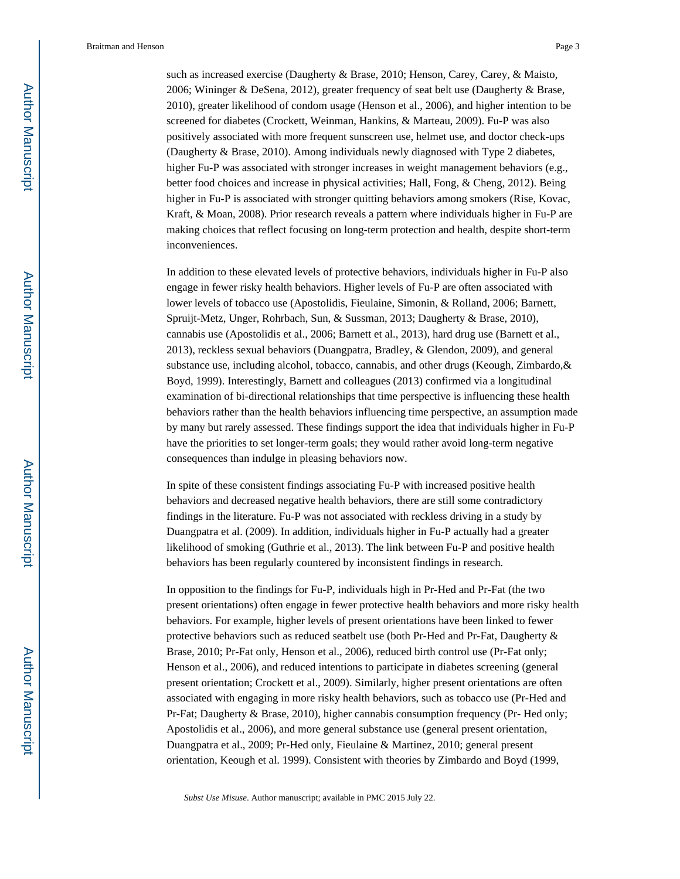such as increased exercise (Daugherty & Brase, 2010; Henson, Carey, Carey, & Maisto, 2006; Wininger & DeSena, 2012), greater frequency of seat belt use (Daugherty & Brase, 2010), greater likelihood of condom usage (Henson et al., 2006), and higher intention to be screened for diabetes (Crockett, Weinman, Hankins, & Marteau, 2009). Fu-P was also positively associated with more frequent sunscreen use, helmet use, and doctor check-ups (Daugherty & Brase, 2010). Among individuals newly diagnosed with Type 2 diabetes, higher Fu-P was associated with stronger increases in weight management behaviors (e.g., better food choices and increase in physical activities; Hall, Fong, & Cheng, 2012). Being higher in Fu-P is associated with stronger quitting behaviors among smokers (Rise, Kovac, Kraft, & Moan, 2008). Prior research reveals a pattern where individuals higher in Fu-P are making choices that reflect focusing on long-term protection and health, despite short-term inconveniences.

In addition to these elevated levels of protective behaviors, individuals higher in Fu-P also engage in fewer risky health behaviors. Higher levels of Fu-P are often associated with lower levels of tobacco use (Apostolidis, Fieulaine, Simonin, & Rolland, 2006; Barnett, Spruijt-Metz, Unger, Rohrbach, Sun, & Sussman, 2013; Daugherty & Brase, 2010), cannabis use (Apostolidis et al., 2006; Barnett et al., 2013), hard drug use (Barnett et al., 2013), reckless sexual behaviors (Duangpatra, Bradley, & Glendon, 2009), and general substance use, including alcohol, tobacco, cannabis, and other drugs (Keough, Zimbardo,& Boyd, 1999). Interestingly, Barnett and colleagues (2013) confirmed via a longitudinal examination of bi-directional relationships that time perspective is influencing these health behaviors rather than the health behaviors influencing time perspective, an assumption made by many but rarely assessed. These findings support the idea that individuals higher in Fu-P have the priorities to set longer-term goals; they would rather avoid long-term negative consequences than indulge in pleasing behaviors now.

In spite of these consistent findings associating Fu-P with increased positive health behaviors and decreased negative health behaviors, there are still some contradictory findings in the literature. Fu-P was not associated with reckless driving in a study by Duangpatra et al. (2009). In addition, individuals higher in Fu-P actually had a greater likelihood of smoking (Guthrie et al., 2013). The link between Fu-P and positive health behaviors has been regularly countered by inconsistent findings in research.

In opposition to the findings for Fu-P, individuals high in Pr-Hed and Pr-Fat (the two present orientations) often engage in fewer protective health behaviors and more risky health behaviors. For example, higher levels of present orientations have been linked to fewer protective behaviors such as reduced seatbelt use (both Pr-Hed and Pr-Fat, Daugherty & Brase, 2010; Pr-Fat only, Henson et al., 2006), reduced birth control use (Pr-Fat only; Henson et al., 2006), and reduced intentions to participate in diabetes screening (general present orientation; Crockett et al., 2009). Similarly, higher present orientations are often associated with engaging in more risky health behaviors, such as tobacco use (Pr-Hed and Pr-Fat; Daugherty & Brase, 2010), higher cannabis consumption frequency (Pr- Hed only; Apostolidis et al., 2006), and more general substance use (general present orientation, Duangpatra et al., 2009; Pr-Hed only, Fieulaine & Martinez, 2010; general present orientation, Keough et al. 1999). Consistent with theories by Zimbardo and Boyd (1999,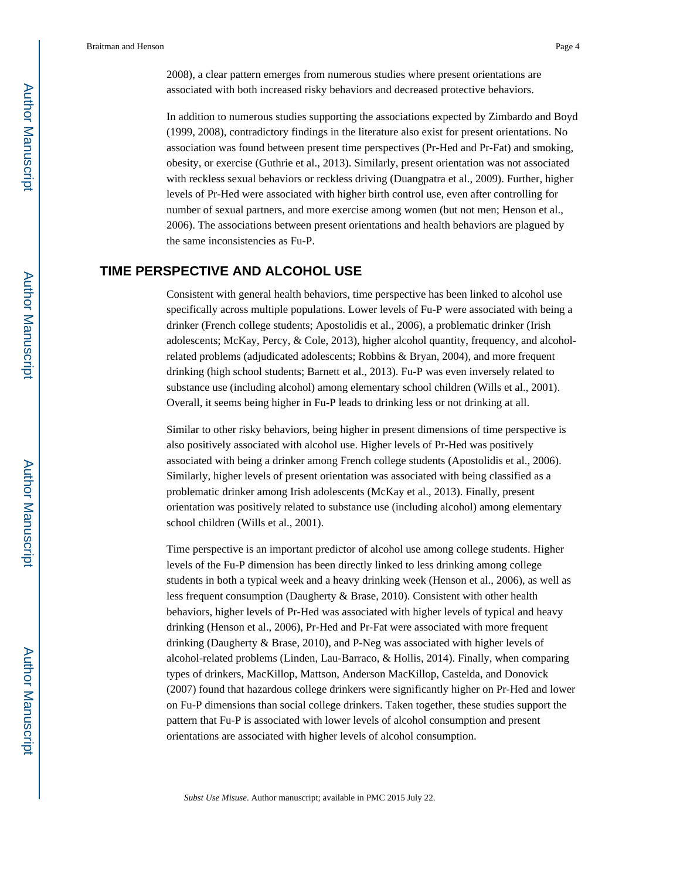2008), a clear pattern emerges from numerous studies where present orientations are associated with both increased risky behaviors and decreased protective behaviors.

In addition to numerous studies supporting the associations expected by Zimbardo and Boyd (1999, 2008), contradictory findings in the literature also exist for present orientations. No association was found between present time perspectives (Pr-Hed and Pr-Fat) and smoking, obesity, or exercise (Guthrie et al., 2013). Similarly, present orientation was not associated with reckless sexual behaviors or reckless driving (Duangpatra et al., 2009). Further, higher levels of Pr-Hed were associated with higher birth control use, even after controlling for number of sexual partners, and more exercise among women (but not men; Henson et al., 2006). The associations between present orientations and health behaviors are plagued by the same inconsistencies as Fu-P.

### **TIME PERSPECTIVE AND ALCOHOL USE**

Consistent with general health behaviors, time perspective has been linked to alcohol use specifically across multiple populations. Lower levels of Fu-P were associated with being a drinker (French college students; Apostolidis et al., 2006), a problematic drinker (Irish adolescents; McKay, Percy, & Cole, 2013), higher alcohol quantity, frequency, and alcoholrelated problems (adjudicated adolescents; Robbins & Bryan, 2004), and more frequent drinking (high school students; Barnett et al., 2013). Fu-P was even inversely related to substance use (including alcohol) among elementary school children (Wills et al., 2001). Overall, it seems being higher in Fu-P leads to drinking less or not drinking at all.

Similar to other risky behaviors, being higher in present dimensions of time perspective is also positively associated with alcohol use. Higher levels of Pr-Hed was positively associated with being a drinker among French college students (Apostolidis et al., 2006). Similarly, higher levels of present orientation was associated with being classified as a problematic drinker among Irish adolescents (McKay et al., 2013). Finally, present orientation was positively related to substance use (including alcohol) among elementary school children (Wills et al., 2001).

Time perspective is an important predictor of alcohol use among college students. Higher levels of the Fu-P dimension has been directly linked to less drinking among college students in both a typical week and a heavy drinking week (Henson et al., 2006), as well as less frequent consumption (Daugherty & Brase, 2010). Consistent with other health behaviors, higher levels of Pr-Hed was associated with higher levels of typical and heavy drinking (Henson et al., 2006), Pr-Hed and Pr-Fat were associated with more frequent drinking (Daugherty & Brase, 2010), and P-Neg was associated with higher levels of alcohol-related problems (Linden, Lau-Barraco, & Hollis, 2014). Finally, when comparing types of drinkers, MacKillop, Mattson, Anderson MacKillop, Castelda, and Donovick (2007) found that hazardous college drinkers were significantly higher on Pr-Hed and lower on Fu-P dimensions than social college drinkers. Taken together, these studies support the pattern that Fu-P is associated with lower levels of alcohol consumption and present orientations are associated with higher levels of alcohol consumption.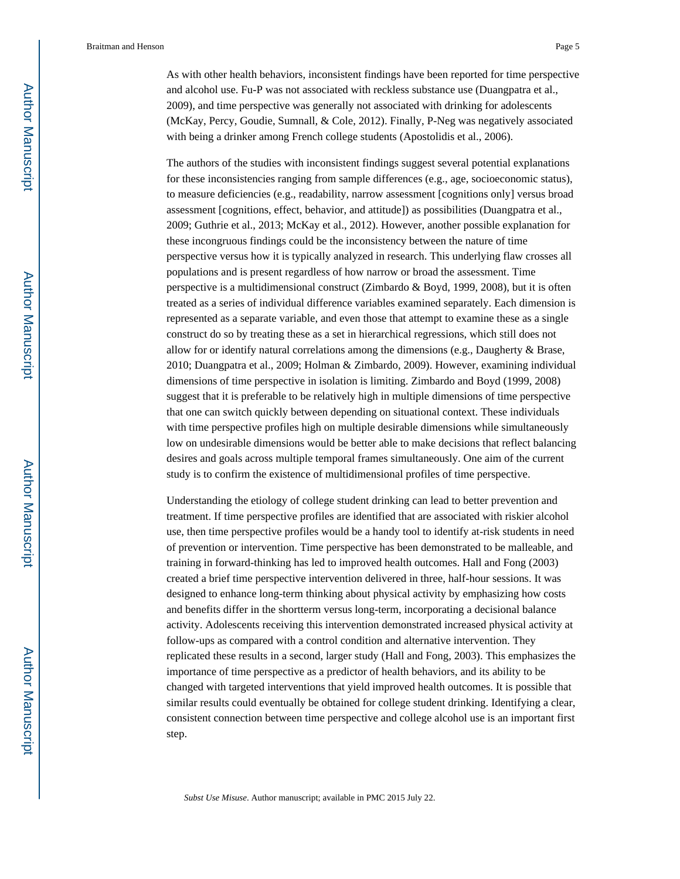As with other health behaviors, inconsistent findings have been reported for time perspective and alcohol use. Fu-P was not associated with reckless substance use (Duangpatra et al., 2009), and time perspective was generally not associated with drinking for adolescents (McKay, Percy, Goudie, Sumnall, & Cole, 2012). Finally, P-Neg was negatively associated with being a drinker among French college students (Apostolidis et al., 2006).

The authors of the studies with inconsistent findings suggest several potential explanations for these inconsistencies ranging from sample differences (e.g., age, socioeconomic status), to measure deficiencies (e.g., readability, narrow assessment [cognitions only] versus broad assessment [cognitions, effect, behavior, and attitude]) as possibilities (Duangpatra et al., 2009; Guthrie et al., 2013; McKay et al., 2012). However, another possible explanation for these incongruous findings could be the inconsistency between the nature of time perspective versus how it is typically analyzed in research. This underlying flaw crosses all populations and is present regardless of how narrow or broad the assessment. Time perspective is a multidimensional construct (Zimbardo & Boyd, 1999, 2008), but it is often treated as a series of individual difference variables examined separately. Each dimension is represented as a separate variable, and even those that attempt to examine these as a single construct do so by treating these as a set in hierarchical regressions, which still does not allow for or identify natural correlations among the dimensions (e.g., Daugherty & Brase, 2010; Duangpatra et al., 2009; Holman & Zimbardo, 2009). However, examining individual dimensions of time perspective in isolation is limiting. Zimbardo and Boyd (1999, 2008) suggest that it is preferable to be relatively high in multiple dimensions of time perspective that one can switch quickly between depending on situational context. These individuals with time perspective profiles high on multiple desirable dimensions while simultaneously low on undesirable dimensions would be better able to make decisions that reflect balancing desires and goals across multiple temporal frames simultaneously. One aim of the current study is to confirm the existence of multidimensional profiles of time perspective.

Understanding the etiology of college student drinking can lead to better prevention and treatment. If time perspective profiles are identified that are associated with riskier alcohol use, then time perspective profiles would be a handy tool to identify at-risk students in need of prevention or intervention. Time perspective has been demonstrated to be malleable, and training in forward-thinking has led to improved health outcomes. Hall and Fong (2003) created a brief time perspective intervention delivered in three, half-hour sessions. It was designed to enhance long-term thinking about physical activity by emphasizing how costs and benefits differ in the shortterm versus long-term, incorporating a decisional balance activity. Adolescents receiving this intervention demonstrated increased physical activity at follow-ups as compared with a control condition and alternative intervention. They replicated these results in a second, larger study (Hall and Fong, 2003). This emphasizes the importance of time perspective as a predictor of health behaviors, and its ability to be changed with targeted interventions that yield improved health outcomes. It is possible that similar results could eventually be obtained for college student drinking. Identifying a clear, consistent connection between time perspective and college alcohol use is an important first step.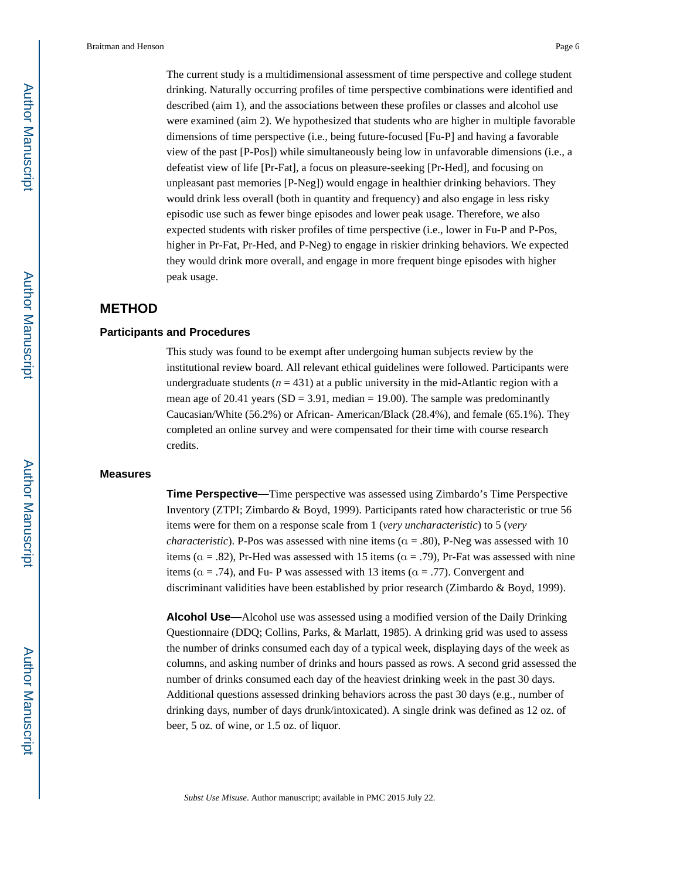The current study is a multidimensional assessment of time perspective and college student drinking. Naturally occurring profiles of time perspective combinations were identified and described (aim 1), and the associations between these profiles or classes and alcohol use were examined (aim 2). We hypothesized that students who are higher in multiple favorable dimensions of time perspective (i.e., being future-focused [Fu-P] and having a favorable view of the past [P-Pos]) while simultaneously being low in unfavorable dimensions (i.e., a defeatist view of life [Pr-Fat], a focus on pleasure-seeking [Pr-Hed], and focusing on unpleasant past memories [P-Neg]) would engage in healthier drinking behaviors. They would drink less overall (both in quantity and frequency) and also engage in less risky episodic use such as fewer binge episodes and lower peak usage. Therefore, we also expected students with risker profiles of time perspective (i.e., lower in Fu-P and P-Pos, higher in Pr-Fat, Pr-Hed, and P-Neg) to engage in riskier drinking behaviors. We expected they would drink more overall, and engage in more frequent binge episodes with higher peak usage.

#### **METHOD**

#### **Participants and Procedures**

This study was found to be exempt after undergoing human subjects review by the institutional review board. All relevant ethical guidelines were followed. Participants were undergraduate students  $(n = 431)$  at a public university in the mid-Atlantic region with a mean age of 20.41 years (SD = 3.91, median = 19.00). The sample was predominantly Caucasian/White (56.2%) or African- American/Black (28.4%), and female (65.1%). They completed an online survey and were compensated for their time with course research credits.

#### **Measures**

**Time Perspective—**Time perspective was assessed using Zimbardo's Time Perspective Inventory (ZTPI; Zimbardo & Boyd, 1999). Participants rated how characteristic or true 56 items were for them on a response scale from 1 (*very uncharacteristic*) to 5 (*very characteristic*). P-Pos was assessed with nine items ( $\alpha = .80$ ), P-Neg was assessed with 10 items ( $\alpha = .82$ ), Pr-Hed was assessed with 15 items ( $\alpha = .79$ ), Pr-Fat was assessed with nine items ( $\alpha$  = .74), and Fu- P was assessed with 13 items ( $\alpha$  = .77). Convergent and discriminant validities have been established by prior research (Zimbardo & Boyd, 1999).

**Alcohol Use—**Alcohol use was assessed using a modified version of the Daily Drinking Questionnaire (DDQ; Collins, Parks, & Marlatt, 1985). A drinking grid was used to assess the number of drinks consumed each day of a typical week, displaying days of the week as columns, and asking number of drinks and hours passed as rows. A second grid assessed the number of drinks consumed each day of the heaviest drinking week in the past 30 days. Additional questions assessed drinking behaviors across the past 30 days (e.g., number of drinking days, number of days drunk/intoxicated). A single drink was defined as 12 oz. of beer, 5 oz. of wine, or 1.5 oz. of liquor.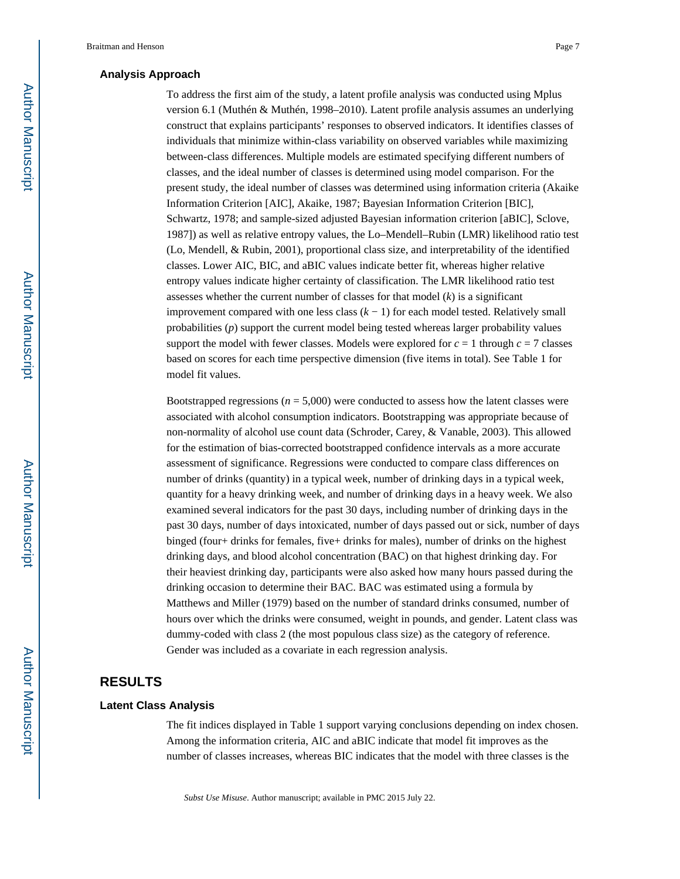#### **Analysis Approach**

To address the first aim of the study, a latent profile analysis was conducted using Mplus version 6.1 (Muthén & Muthén, 1998–2010). Latent profile analysis assumes an underlying construct that explains participants' responses to observed indicators. It identifies classes of individuals that minimize within-class variability on observed variables while maximizing between-class differences. Multiple models are estimated specifying different numbers of classes, and the ideal number of classes is determined using model comparison. For the present study, the ideal number of classes was determined using information criteria (Akaike Information Criterion [AIC], Akaike, 1987; Bayesian Information Criterion [BIC], Schwartz, 1978; and sample-sized adjusted Bayesian information criterion [aBIC], Sclove, 1987]) as well as relative entropy values, the Lo–Mendell–Rubin (LMR) likelihood ratio test (Lo, Mendell, & Rubin, 2001), proportional class size, and interpretability of the identified classes. Lower AIC, BIC, and aBIC values indicate better fit, whereas higher relative entropy values indicate higher certainty of classification. The LMR likelihood ratio test assesses whether the current number of classes for that model (*k*) is a significant improvement compared with one less class  $(k - 1)$  for each model tested. Relatively small probabilities (*p*) support the current model being tested whereas larger probability values support the model with fewer classes. Models were explored for  $c = 1$  through  $c = 7$  classes based on scores for each time perspective dimension (five items in total). See Table 1 for model fit values.

Bootstrapped regressions  $(n = 5,000)$  were conducted to assess how the latent classes were associated with alcohol consumption indicators. Bootstrapping was appropriate because of non-normality of alcohol use count data (Schroder, Carey, & Vanable, 2003). This allowed for the estimation of bias-corrected bootstrapped confidence intervals as a more accurate assessment of significance. Regressions were conducted to compare class differences on number of drinks (quantity) in a typical week, number of drinking days in a typical week, quantity for a heavy drinking week, and number of drinking days in a heavy week. We also examined several indicators for the past 30 days, including number of drinking days in the past 30 days, number of days intoxicated, number of days passed out or sick, number of days binged (four+ drinks for females, five+ drinks for males), number of drinks on the highest drinking days, and blood alcohol concentration (BAC) on that highest drinking day. For their heaviest drinking day, participants were also asked how many hours passed during the drinking occasion to determine their BAC. BAC was estimated using a formula by Matthews and Miller (1979) based on the number of standard drinks consumed, number of hours over which the drinks were consumed, weight in pounds, and gender. Latent class was dummy-coded with class 2 (the most populous class size) as the category of reference. Gender was included as a covariate in each regression analysis.

#### **RESULTS**

#### **Latent Class Analysis**

The fit indices displayed in Table 1 support varying conclusions depending on index chosen. Among the information criteria, AIC and aBIC indicate that model fit improves as the number of classes increases, whereas BIC indicates that the model with three classes is the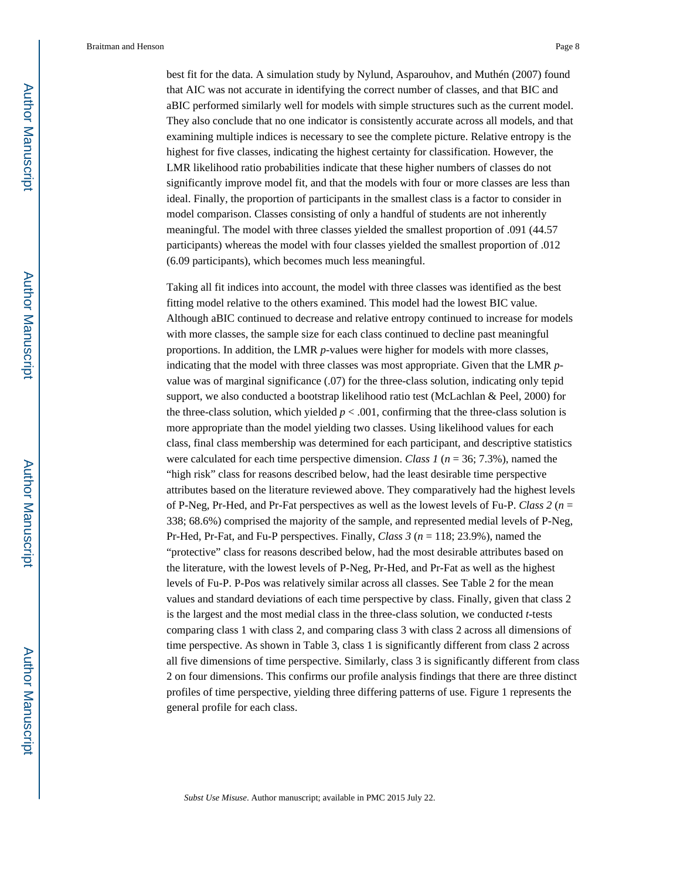best fit for the data. A simulation study by Nylund, Asparouhov, and Muthén (2007) found that AIC was not accurate in identifying the correct number of classes, and that BIC and aBIC performed similarly well for models with simple structures such as the current model. They also conclude that no one indicator is consistently accurate across all models, and that examining multiple indices is necessary to see the complete picture. Relative entropy is the highest for five classes, indicating the highest certainty for classification. However, the LMR likelihood ratio probabilities indicate that these higher numbers of classes do not significantly improve model fit, and that the models with four or more classes are less than ideal. Finally, the proportion of participants in the smallest class is a factor to consider in model comparison. Classes consisting of only a handful of students are not inherently meaningful. The model with three classes yielded the smallest proportion of .091 (44.57 participants) whereas the model with four classes yielded the smallest proportion of .012 (6.09 participants), which becomes much less meaningful.

Taking all fit indices into account, the model with three classes was identified as the best fitting model relative to the others examined. This model had the lowest BIC value. Although aBIC continued to decrease and relative entropy continued to increase for models with more classes, the sample size for each class continued to decline past meaningful proportions. In addition, the LMR *p*-values were higher for models with more classes, indicating that the model with three classes was most appropriate. Given that the LMR *p*value was of marginal significance (.07) for the three-class solution, indicating only tepid support, we also conducted a bootstrap likelihood ratio test (McLachlan & Peel, 2000) for the three-class solution, which yielded  $p < .001$ , confirming that the three-class solution is more appropriate than the model yielding two classes. Using likelihood values for each class, final class membership was determined for each participant, and descriptive statistics were calculated for each time perspective dimension. *Class 1* (*n* = 36; 7.3%), named the "high risk" class for reasons described below, had the least desirable time perspective attributes based on the literature reviewed above. They comparatively had the highest levels of P-Neg, Pr-Hed, and Pr-Fat perspectives as well as the lowest levels of Fu-P. *Class 2* (*n* = 338; 68.6%) comprised the majority of the sample, and represented medial levels of P-Neg, Pr-Hed, Pr-Fat, and Fu-P perspectives. Finally, *Class 3* (*n* = 118; 23.9%), named the "protective" class for reasons described below, had the most desirable attributes based on the literature, with the lowest levels of P-Neg, Pr-Hed, and Pr-Fat as well as the highest levels of Fu-P. P-Pos was relatively similar across all classes. See Table 2 for the mean values and standard deviations of each time perspective by class. Finally, given that class 2 is the largest and the most medial class in the three-class solution, we conducted *t*-tests comparing class 1 with class 2, and comparing class 3 with class 2 across all dimensions of time perspective. As shown in Table 3, class 1 is significantly different from class 2 across all five dimensions of time perspective. Similarly, class 3 is significantly different from class 2 on four dimensions. This confirms our profile analysis findings that there are three distinct profiles of time perspective, yielding three differing patterns of use. Figure 1 represents the general profile for each class.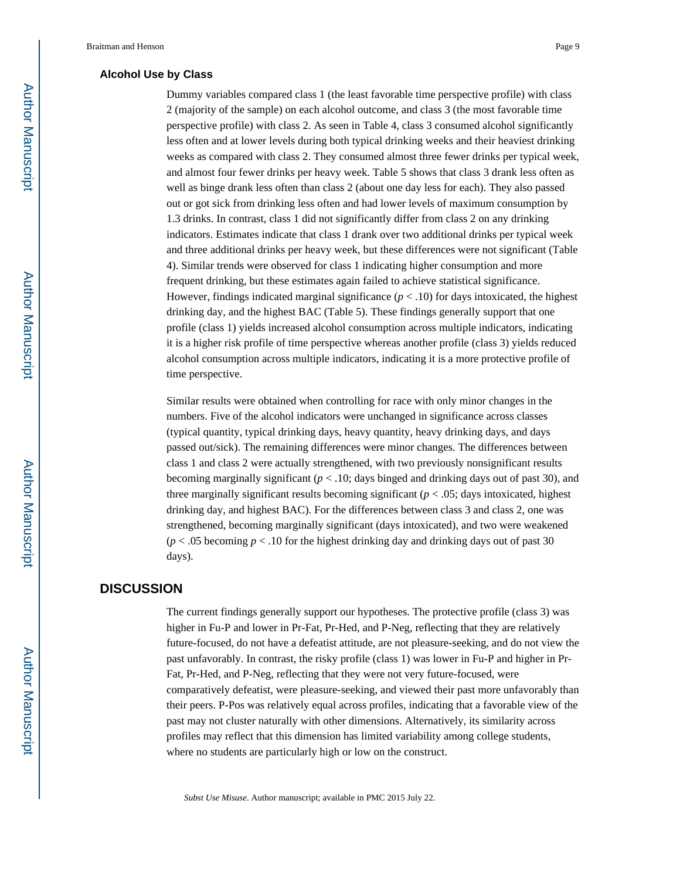#### **Alcohol Use by Class**

Dummy variables compared class 1 (the least favorable time perspective profile) with class 2 (majority of the sample) on each alcohol outcome, and class 3 (the most favorable time perspective profile) with class 2. As seen in Table 4, class 3 consumed alcohol significantly less often and at lower levels during both typical drinking weeks and their heaviest drinking weeks as compared with class 2. They consumed almost three fewer drinks per typical week, and almost four fewer drinks per heavy week. Table 5 shows that class 3 drank less often as well as binge drank less often than class 2 (about one day less for each). They also passed out or got sick from drinking less often and had lower levels of maximum consumption by 1.3 drinks. In contrast, class 1 did not significantly differ from class 2 on any drinking indicators. Estimates indicate that class 1 drank over two additional drinks per typical week and three additional drinks per heavy week, but these differences were not significant (Table 4). Similar trends were observed for class 1 indicating higher consumption and more frequent drinking, but these estimates again failed to achieve statistical significance. However, findings indicated marginal significance  $(p < .10)$  for days intoxicated, the highest drinking day, and the highest BAC (Table 5). These findings generally support that one profile (class 1) yields increased alcohol consumption across multiple indicators, indicating it is a higher risk profile of time perspective whereas another profile (class 3) yields reduced alcohol consumption across multiple indicators, indicating it is a more protective profile of time perspective.

Similar results were obtained when controlling for race with only minor changes in the numbers. Five of the alcohol indicators were unchanged in significance across classes (typical quantity, typical drinking days, heavy quantity, heavy drinking days, and days passed out/sick). The remaining differences were minor changes. The differences between class 1 and class 2 were actually strengthened, with two previously nonsignificant results becoming marginally significant (*p* < .10; days binged and drinking days out of past 30), and three marginally significant results becoming significant  $(p < .05;$  days intoxicated, highest drinking day, and highest BAC). For the differences between class 3 and class 2, one was strengthened, becoming marginally significant (days intoxicated), and two were weakened  $(p < .05$  becoming  $p < .10$  for the highest drinking day and drinking days out of past 30 days).

#### **DISCUSSION**

The current findings generally support our hypotheses. The protective profile (class 3) was higher in Fu-P and lower in Pr-Fat, Pr-Hed, and P-Neg, reflecting that they are relatively future-focused, do not have a defeatist attitude, are not pleasure-seeking, and do not view the past unfavorably. In contrast, the risky profile (class 1) was lower in Fu-P and higher in Pr-Fat, Pr-Hed, and P-Neg, reflecting that they were not very future-focused, were comparatively defeatist, were pleasure-seeking, and viewed their past more unfavorably than their peers. P-Pos was relatively equal across profiles, indicating that a favorable view of the past may not cluster naturally with other dimensions. Alternatively, its similarity across profiles may reflect that this dimension has limited variability among college students, where no students are particularly high or low on the construct.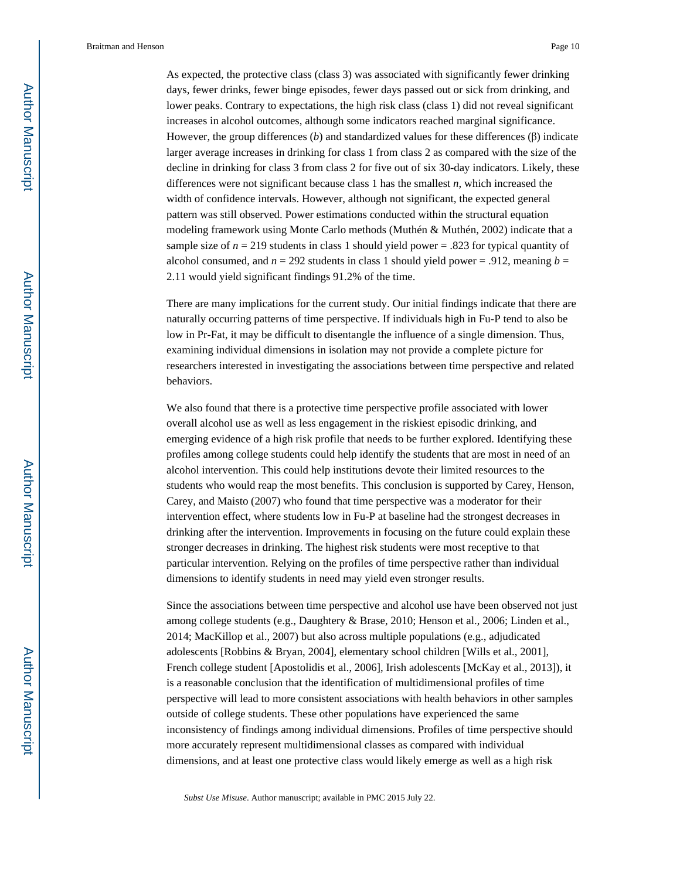As expected, the protective class (class 3) was associated with significantly fewer drinking days, fewer drinks, fewer binge episodes, fewer days passed out or sick from drinking, and lower peaks. Contrary to expectations, the high risk class (class 1) did not reveal significant increases in alcohol outcomes, although some indicators reached marginal significance. However, the group differences (*b*) and standardized values for these differences (β) indicate larger average increases in drinking for class 1 from class 2 as compared with the size of the decline in drinking for class 3 from class 2 for five out of six 30-day indicators. Likely, these differences were not significant because class 1 has the smallest *n*, which increased the width of confidence intervals. However, although not significant, the expected general pattern was still observed. Power estimations conducted within the structural equation modeling framework using Monte Carlo methods (Muthén & Muthén, 2002) indicate that a sample size of  $n = 219$  students in class 1 should yield power  $= .823$  for typical quantity of alcohol consumed, and  $n = 292$  students in class 1 should yield power = .912, meaning  $b =$ 2.11 would yield significant findings 91.2% of the time.

There are many implications for the current study. Our initial findings indicate that there are naturally occurring patterns of time perspective. If individuals high in Fu-P tend to also be low in Pr-Fat, it may be difficult to disentangle the influence of a single dimension. Thus, examining individual dimensions in isolation may not provide a complete picture for researchers interested in investigating the associations between time perspective and related behaviors.

We also found that there is a protective time perspective profile associated with lower overall alcohol use as well as less engagement in the riskiest episodic drinking, and emerging evidence of a high risk profile that needs to be further explored. Identifying these profiles among college students could help identify the students that are most in need of an alcohol intervention. This could help institutions devote their limited resources to the students who would reap the most benefits. This conclusion is supported by Carey, Henson, Carey, and Maisto (2007) who found that time perspective was a moderator for their intervention effect, where students low in Fu-P at baseline had the strongest decreases in drinking after the intervention. Improvements in focusing on the future could explain these stronger decreases in drinking. The highest risk students were most receptive to that particular intervention. Relying on the profiles of time perspective rather than individual dimensions to identify students in need may yield even stronger results.

Since the associations between time perspective and alcohol use have been observed not just among college students (e.g., Daughtery & Brase, 2010; Henson et al., 2006; Linden et al., 2014; MacKillop et al., 2007) but also across multiple populations (e.g., adjudicated adolescents [Robbins & Bryan, 2004], elementary school children [Wills et al., 2001], French college student [Apostolidis et al., 2006], Irish adolescents [McKay et al., 2013]), it is a reasonable conclusion that the identification of multidimensional profiles of time perspective will lead to more consistent associations with health behaviors in other samples outside of college students. These other populations have experienced the same inconsistency of findings among individual dimensions. Profiles of time perspective should more accurately represent multidimensional classes as compared with individual dimensions, and at least one protective class would likely emerge as well as a high risk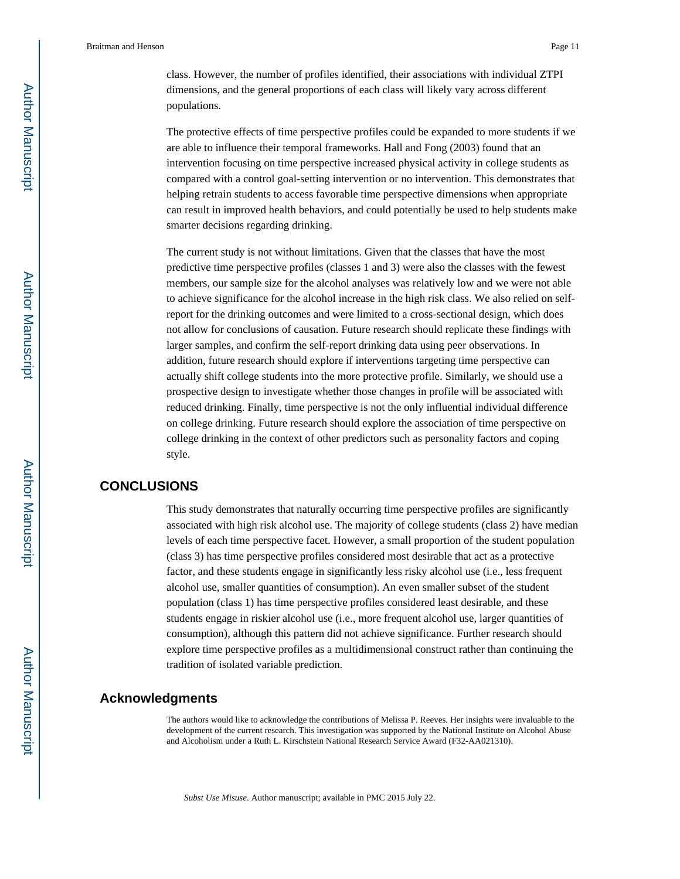class. However, the number of profiles identified, their associations with individual ZTPI dimensions, and the general proportions of each class will likely vary across different populations.

The protective effects of time perspective profiles could be expanded to more students if we are able to influence their temporal frameworks. Hall and Fong (2003) found that an intervention focusing on time perspective increased physical activity in college students as compared with a control goal-setting intervention or no intervention. This demonstrates that helping retrain students to access favorable time perspective dimensions when appropriate can result in improved health behaviors, and could potentially be used to help students make smarter decisions regarding drinking.

The current study is not without limitations. Given that the classes that have the most predictive time perspective profiles (classes 1 and 3) were also the classes with the fewest members, our sample size for the alcohol analyses was relatively low and we were not able to achieve significance for the alcohol increase in the high risk class. We also relied on selfreport for the drinking outcomes and were limited to a cross-sectional design, which does not allow for conclusions of causation. Future research should replicate these findings with larger samples, and confirm the self-report drinking data using peer observations. In addition, future research should explore if interventions targeting time perspective can actually shift college students into the more protective profile. Similarly, we should use a prospective design to investigate whether those changes in profile will be associated with reduced drinking. Finally, time perspective is not the only influential individual difference on college drinking. Future research should explore the association of time perspective on college drinking in the context of other predictors such as personality factors and coping style.

#### **CONCLUSIONS**

This study demonstrates that naturally occurring time perspective profiles are significantly associated with high risk alcohol use. The majority of college students (class 2) have median levels of each time perspective facet. However, a small proportion of the student population (class 3) has time perspective profiles considered most desirable that act as a protective factor, and these students engage in significantly less risky alcohol use (i.e., less frequent alcohol use, smaller quantities of consumption). An even smaller subset of the student population (class 1) has time perspective profiles considered least desirable, and these students engage in riskier alcohol use (i.e., more frequent alcohol use, larger quantities of consumption), although this pattern did not achieve significance. Further research should explore time perspective profiles as a multidimensional construct rather than continuing the tradition of isolated variable prediction.

#### **Acknowledgments**

The authors would like to acknowledge the contributions of Melissa P. Reeves. Her insights were invaluable to the development of the current research. This investigation was supported by the National Institute on Alcohol Abuse and Alcoholism under a Ruth L. Kirschstein National Research Service Award (F32-AA021310).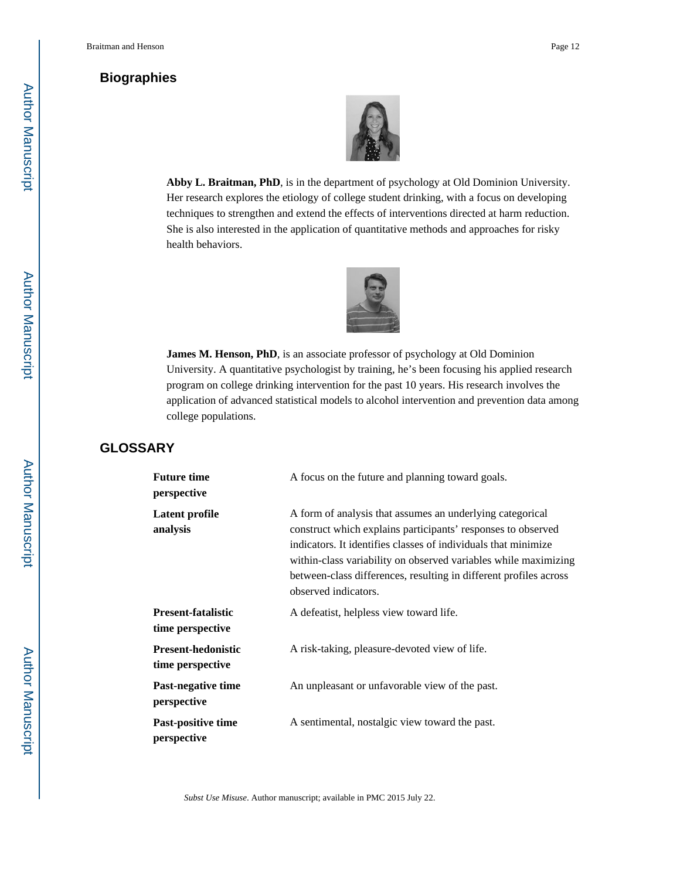# **Biographies**



**Abby L. Braitman, PhD**, is in the department of psychology at Old Dominion University. Her research explores the etiology of college student drinking, with a focus on developing techniques to strengthen and extend the effects of interventions directed at harm reduction. She is also interested in the application of quantitative methods and approaches for risky health behaviors.



**James M. Henson, PhD**, is an associate professor of psychology at Old Dominion University. A quantitative psychologist by training, he's been focusing his applied research program on college drinking intervention for the past 10 years. His research involves the application of advanced statistical models to alcohol intervention and prevention data among college populations.

## **GLOSSARY**

| <b>Future time</b><br>perspective             | A focus on the future and planning toward goals.                                                                                                                                                                                                                                                                                                            |
|-----------------------------------------------|-------------------------------------------------------------------------------------------------------------------------------------------------------------------------------------------------------------------------------------------------------------------------------------------------------------------------------------------------------------|
| Latent profile<br>analysis                    | A form of analysis that assumes an underlying categorical<br>construct which explains participants' responses to observed<br>indicators. It identifies classes of individuals that minimize<br>within-class variability on observed variables while maximizing<br>between-class differences, resulting in different profiles across<br>observed indicators. |
| <b>Present-fatalistic</b><br>time perspective | A defeatist, helpless view toward life.                                                                                                                                                                                                                                                                                                                     |
| <b>Present-hedonistic</b><br>time perspective | A risk-taking, pleasure-devoted view of life.                                                                                                                                                                                                                                                                                                               |
| <b>Past-negative time</b><br>perspective      | An unpleasant or unfavorable view of the past.                                                                                                                                                                                                                                                                                                              |
| <b>Past-positive time</b><br>perspective      | A sentimental, nostalgic view toward the past.                                                                                                                                                                                                                                                                                                              |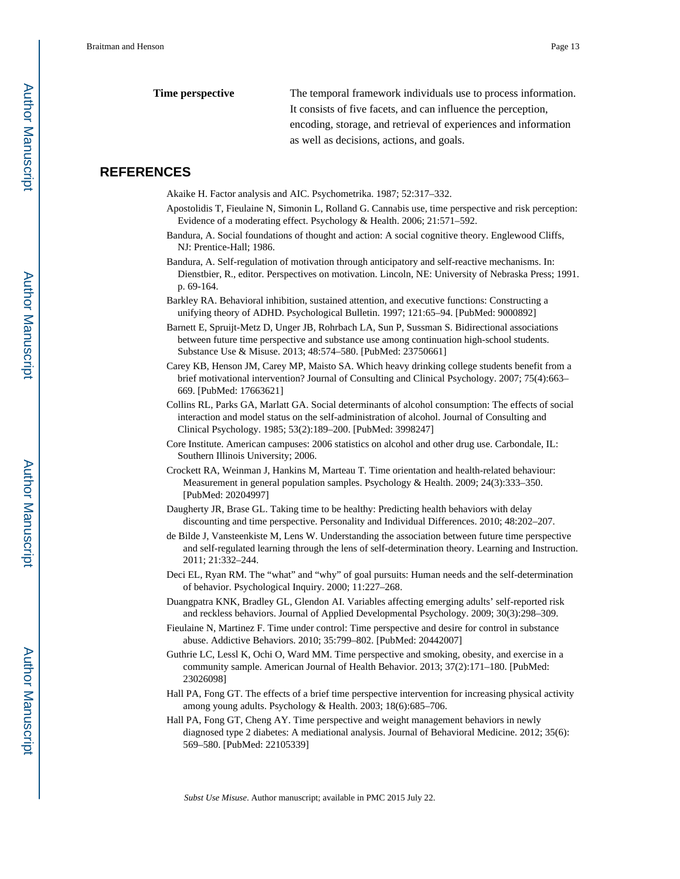| Time perspective | The temporal framework individuals use to process information.  |
|------------------|-----------------------------------------------------------------|
|                  | It consists of five facets, and can influence the perception,   |
|                  | encoding, storage, and retrieval of experiences and information |
|                  | as well as decisions, actions, and goals.                       |

#### **REFERENCES**

Akaike H. Factor analysis and AIC. Psychometrika. 1987; 52:317–332.

- Apostolidis T, Fieulaine N, Simonin L, Rolland G. Cannabis use, time perspective and risk perception: Evidence of a moderating effect. Psychology & Health. 2006; 21:571–592.
- Bandura, A. Social foundations of thought and action: A social cognitive theory. Englewood Cliffs, NJ: Prentice-Hall; 1986.
- Bandura, A. Self-regulation of motivation through anticipatory and self-reactive mechanisms. In: Dienstbier, R., editor. Perspectives on motivation. Lincoln, NE: University of Nebraska Press; 1991. p. 69-164.
- Barkley RA. Behavioral inhibition, sustained attention, and executive functions: Constructing a unifying theory of ADHD. Psychological Bulletin. 1997; 121:65–94. [PubMed: 9000892]
- Barnett E, Spruijt-Metz D, Unger JB, Rohrbach LA, Sun P, Sussman S. Bidirectional associations between future time perspective and substance use among continuation high-school students. Substance Use & Misuse. 2013; 48:574–580. [PubMed: 23750661]
- Carey KB, Henson JM, Carey MP, Maisto SA. Which heavy drinking college students benefit from a brief motivational intervention? Journal of Consulting and Clinical Psychology. 2007; 75(4):663– 669. [PubMed: 17663621]
- Collins RL, Parks GA, Marlatt GA. Social determinants of alcohol consumption: The effects of social interaction and model status on the self-administration of alcohol. Journal of Consulting and Clinical Psychology. 1985; 53(2):189–200. [PubMed: 3998247]
- Core Institute. American campuses: 2006 statistics on alcohol and other drug use. Carbondale, IL: Southern Illinois University; 2006.
- Crockett RA, Weinman J, Hankins M, Marteau T. Time orientation and health-related behaviour: Measurement in general population samples. Psychology & Health. 2009; 24(3):333–350. [PubMed: 20204997]
- Daugherty JR, Brase GL. Taking time to be healthy: Predicting health behaviors with delay discounting and time perspective. Personality and Individual Differences. 2010; 48:202–207.
- de Bilde J, Vansteenkiste M, Lens W. Understanding the association between future time perspective and self-regulated learning through the lens of self-determination theory. Learning and Instruction. 2011; 21:332–244.
- Deci EL, Ryan RM. The "what" and "why" of goal pursuits: Human needs and the self-determination of behavior. Psychological Inquiry. 2000; 11:227–268.
- Duangpatra KNK, Bradley GL, Glendon AI. Variables affecting emerging adults' self-reported risk and reckless behaviors. Journal of Applied Developmental Psychology. 2009; 30(3):298–309.
- Fieulaine N, Martinez F. Time under control: Time perspective and desire for control in substance abuse. Addictive Behaviors. 2010; 35:799–802. [PubMed: 20442007]
- Guthrie LC, Lessl K, Ochi O, Ward MM. Time perspective and smoking, obesity, and exercise in a community sample. American Journal of Health Behavior. 2013; 37(2):171–180. [PubMed: 23026098]
- Hall PA, Fong GT. The effects of a brief time perspective intervention for increasing physical activity among young adults. Psychology & Health. 2003; 18(6):685–706.
- Hall PA, Fong GT, Cheng AY. Time perspective and weight management behaviors in newly diagnosed type 2 diabetes: A mediational analysis. Journal of Behavioral Medicine. 2012; 35(6): 569–580. [PubMed: 22105339]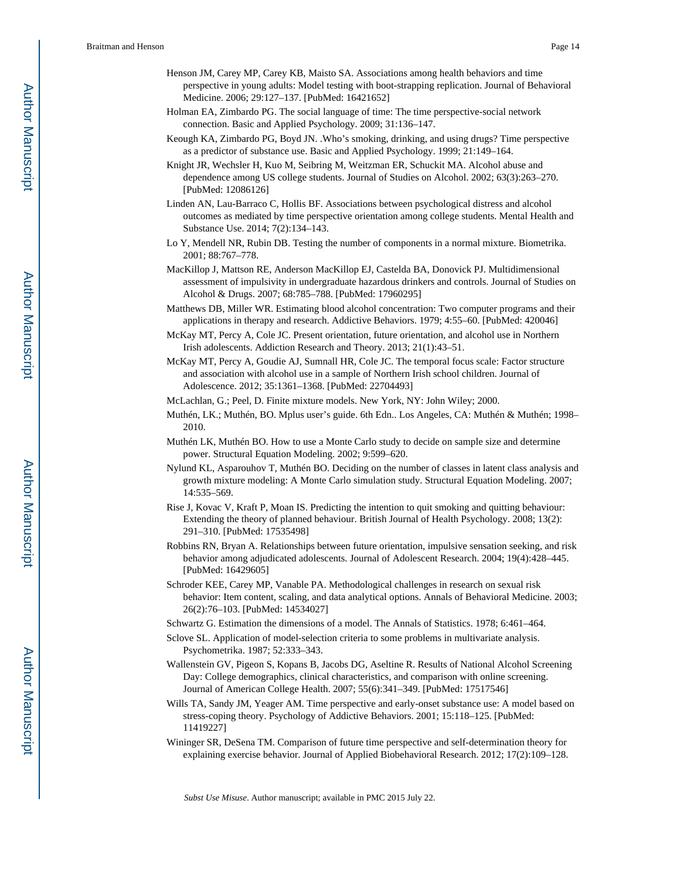- Henson JM, Carey MP, Carey KB, Maisto SA. Associations among health behaviors and time perspective in young adults: Model testing with boot-strapping replication. Journal of Behavioral Medicine. 2006; 29:127–137. [PubMed: 16421652]
- Holman EA, Zimbardo PG. The social language of time: The time perspective-social network connection. Basic and Applied Psychology. 2009; 31:136–147.
- Keough KA, Zimbardo PG, Boyd JN. .Who's smoking, drinking, and using drugs? Time perspective as a predictor of substance use. Basic and Applied Psychology. 1999; 21:149–164.
- Knight JR, Wechsler H, Kuo M, Seibring M, Weitzman ER, Schuckit MA. Alcohol abuse and dependence among US college students. Journal of Studies on Alcohol. 2002; 63(3):263–270. [PubMed: 12086126]
- Linden AN, Lau-Barraco C, Hollis BF. Associations between psychological distress and alcohol outcomes as mediated by time perspective orientation among college students. Mental Health and Substance Use. 2014; 7(2):134–143.
- Lo Y, Mendell NR, Rubin DB. Testing the number of components in a normal mixture. Biometrika. 2001; 88:767–778.
- MacKillop J, Mattson RE, Anderson MacKillop EJ, Castelda BA, Donovick PJ. Multidimensional assessment of impulsivity in undergraduate hazardous drinkers and controls. Journal of Studies on Alcohol & Drugs. 2007; 68:785–788. [PubMed: 17960295]
- Matthews DB, Miller WR. Estimating blood alcohol concentration: Two computer programs and their applications in therapy and research. Addictive Behaviors. 1979; 4:55–60. [PubMed: 420046]
- McKay MT, Percy A, Cole JC. Present orientation, future orientation, and alcohol use in Northern Irish adolescents. Addiction Research and Theory. 2013; 21(1):43–51.
- McKay MT, Percy A, Goudie AJ, Sumnall HR, Cole JC. The temporal focus scale: Factor structure and association with alcohol use in a sample of Northern Irish school children. Journal of Adolescence. 2012; 35:1361–1368. [PubMed: 22704493]
- McLachlan, G.; Peel, D. Finite mixture models. New York, NY: John Wiley; 2000.
- Muthén, LK.; Muthén, BO. Mplus user's guide. 6th Edn.. Los Angeles, CA: Muthén & Muthén; 1998– 2010.
- Muthén LK, Muthén BO. How to use a Monte Carlo study to decide on sample size and determine power. Structural Equation Modeling. 2002; 9:599–620.
- Nylund KL, Asparouhov T, Muthén BO. Deciding on the number of classes in latent class analysis and growth mixture modeling: A Monte Carlo simulation study. Structural Equation Modeling. 2007; 14:535–569.
- Rise J, Kovac V, Kraft P, Moan IS. Predicting the intention to quit smoking and quitting behaviour: Extending the theory of planned behaviour. British Journal of Health Psychology. 2008; 13(2): 291–310. [PubMed: 17535498]
- Robbins RN, Bryan A. Relationships between future orientation, impulsive sensation seeking, and risk behavior among adjudicated adolescents. Journal of Adolescent Research. 2004; 19(4):428–445. [PubMed: 16429605]
- Schroder KEE, Carey MP, Vanable PA. Methodological challenges in research on sexual risk behavior: Item content, scaling, and data analytical options. Annals of Behavioral Medicine. 2003; 26(2):76–103. [PubMed: 14534027]
- Schwartz G. Estimation the dimensions of a model. The Annals of Statistics. 1978; 6:461–464.
- Sclove SL. Application of model-selection criteria to some problems in multivariate analysis. Psychometrika. 1987; 52:333–343.
- Wallenstein GV, Pigeon S, Kopans B, Jacobs DG, Aseltine R. Results of National Alcohol Screening Day: College demographics, clinical characteristics, and comparison with online screening. Journal of American College Health. 2007; 55(6):341–349. [PubMed: 17517546]
- Wills TA, Sandy JM, Yeager AM. Time perspective and early-onset substance use: A model based on stress-coping theory. Psychology of Addictive Behaviors. 2001; 15:118–125. [PubMed: 11419227]
- Wininger SR, DeSena TM. Comparison of future time perspective and self-determination theory for explaining exercise behavior. Journal of Applied Biobehavioral Research. 2012; 17(2):109–128.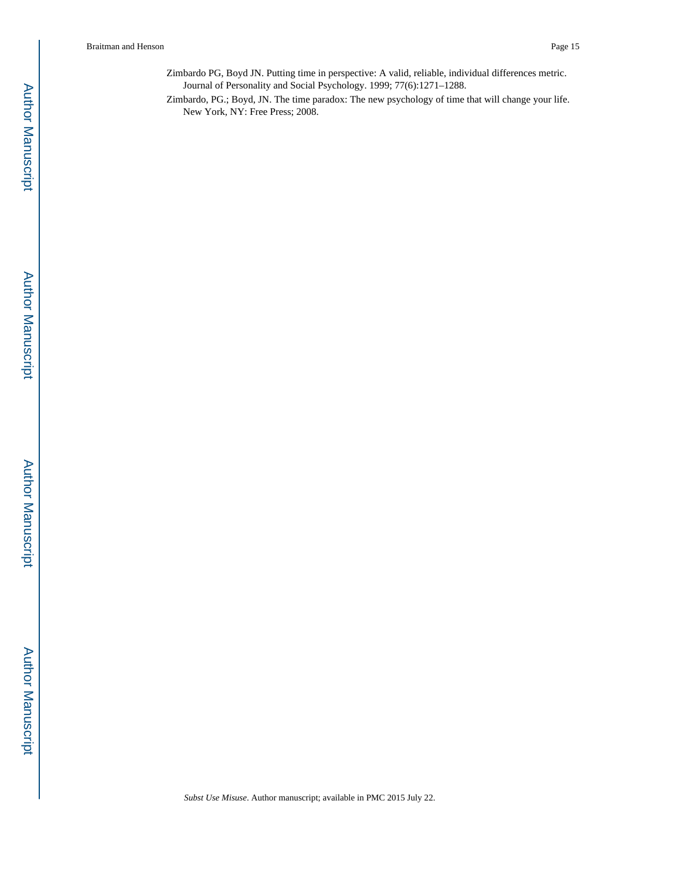- Zimbardo PG, Boyd JN. Putting time in perspective: A valid, reliable, individual differences metric. Journal of Personality and Social Psychology. 1999; 77(6):1271–1288.
- Zimbardo, PG.; Boyd, JN. The time paradox: The new psychology of time that will change your life. New York, NY: Free Press; 2008.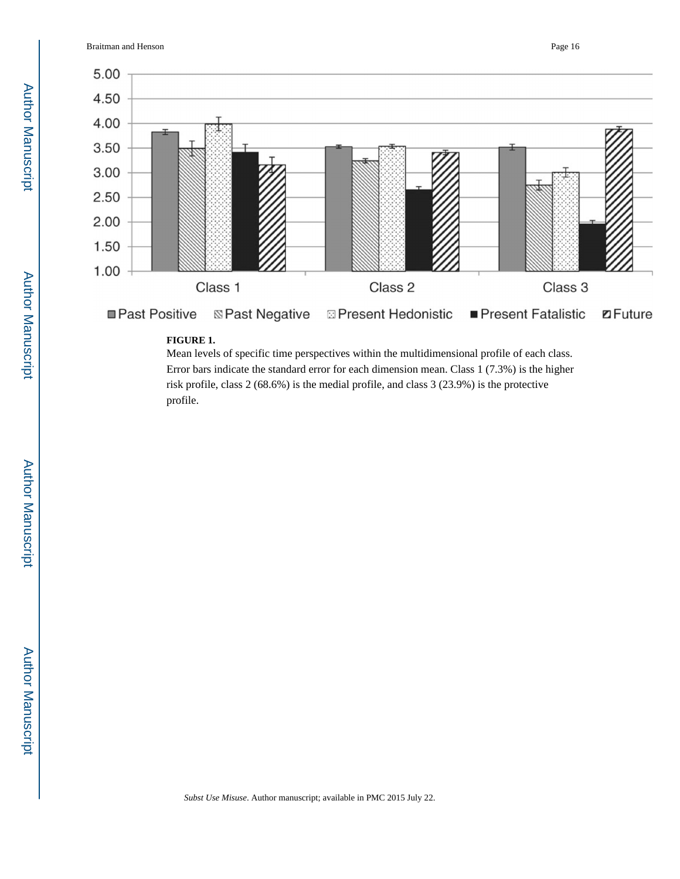Braitman and Henson Page 16



#### **FIGURE 1.**

Mean levels of specific time perspectives within the multidimensional profile of each class. Error bars indicate the standard error for each dimension mean. Class 1 (7.3%) is the higher risk profile, class 2 (68.6%) is the medial profile, and class 3 (23.9%) is the protective profile.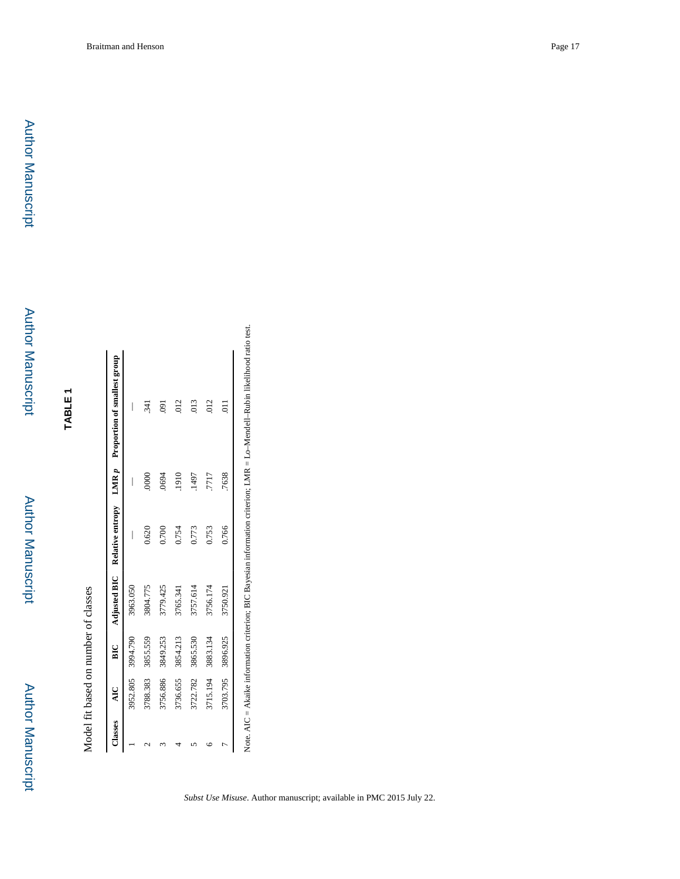Model fit based on number of classes Model fit based on number of classes

| <b>Jasses</b> | AIC      | ЫC       |          |       |      | Adjusted BIC Relative entropy $LMRp$ Proportion of smallest group |
|---------------|----------|----------|----------|-------|------|-------------------------------------------------------------------|
|               | 3952.805 | 3994.790 | 3963.050 |       |      | $\overline{\phantom{a}}$                                          |
|               | 3788.383 | 3855.559 | 3804.775 | 0.620 | 0000 | 341                                                               |
|               | 3756.886 | 3849.253 | 3779.425 | 0.700 | 0694 | $\overline{5}$                                                    |
|               | 3736.655 | 3854.213 | 3765.341 | 0.754 | 1910 | $\frac{2}{2}$                                                     |
|               | 3722.782 | 3865.530 | 3757.614 | 0.773 | 1497 | 013                                                               |
|               | 3715.194 | 3883.134 | 3756.174 | 0.753 | 7717 | 012                                                               |
|               | 3703.795 | 3896.925 | 3750.921 | 0.766 | 7638 | 등                                                                 |

Note. AIC = Akaike information criterion; BIC Bayesian information criterion; LMR = Lo-Mendell-Rubin likelihood ratio test. Note. AIC = Akaike information criterion; BIC Bayesian information criterion; LMR = Lo–Mendell–Rubin likelihood ratio test.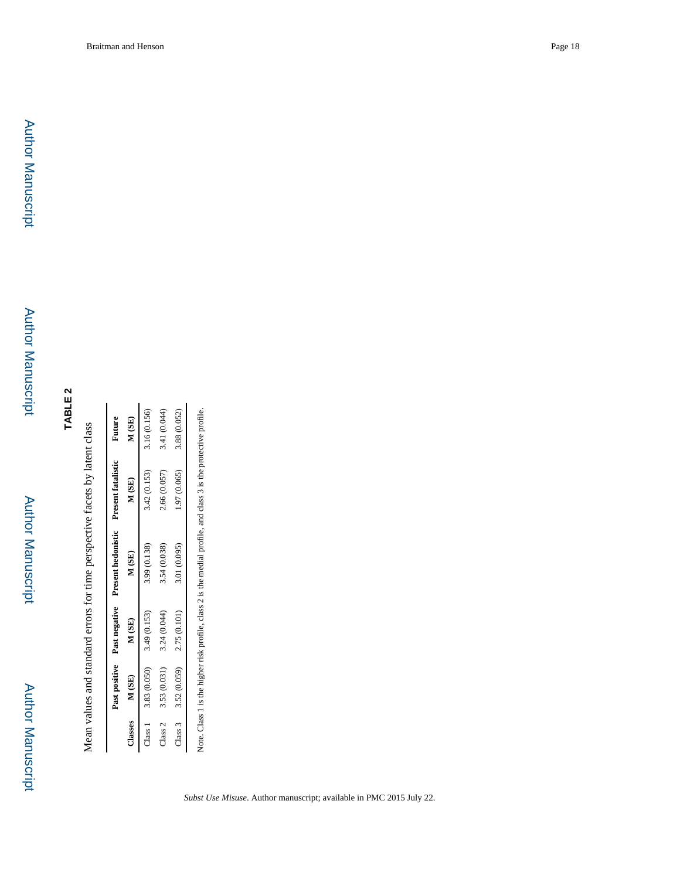Author Manuscript

**Author Manuscript** 

Mean values and standard errors for time perspective facets by latent class Mean values and standard errors for time perspective facets by latent class

|                    |              |              | Past positive Past negative Present hedonistic Present fatalistic |              | Future       |
|--------------------|--------------|--------------|-------------------------------------------------------------------|--------------|--------------|
| Classes            | M(SE)        | M(SE)        | M(SE)                                                             | M(SE)        | M(SE)        |
| Class <sub>1</sub> | 3.83 (0.050) | 3.49 (0.153) | 3.99 (0.138)                                                      | s.42 (0.153) | 3.16 (0.156) |
| Class 2            | 3.53 (0.031) | 3.24(0.044)  | 3.54 (0.038)                                                      | 2.66 (0.057) | 3.41 (0.044) |
| Class 3            | 3.52 (0.059) | 2.75 (0.101) | 3.01 (0.095)                                                      | 1.97(0.065)  | 3.88 (0.052) |

Note. Class 1 is the higher risk profile, class 2 is the medial profile, and class 3 is the protective profile.

Note. Class 1 is the higher risk profile, class 2 is the medial profile, and class 3 is the protective profile.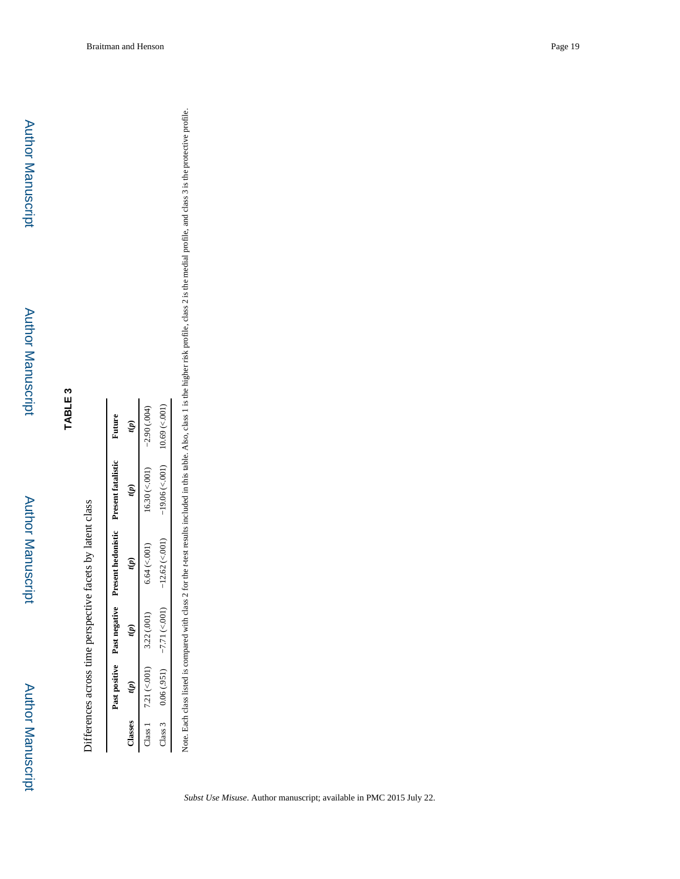Author Manuscript

Author Manuscript

Differences across time perspective facets by latent class Differences across time perspective facets by latent class

|         | Past positive                        | Past negative | Present hedonistic Present fatalistic |                     | Future          |
|---------|--------------------------------------|---------------|---------------------------------------|---------------------|-----------------|
| Classes | Q)                                   | (a)           | (a)                                   | t(p)                | Q)              |
| Class 1 | $7.21 (\le 001)$                     | 3.22(.001)    | $5.64 \le 0.001$                      | (6.30)(<.001)       | $-2.90(.004)$   |
|         | $Class 3 0.06 (.951) -7.71 (< .001)$ |               | $-12.62$ (<.001)                      | $-19.06 \, (< 001)$ | $10.69$ (<.001) |

Note. Each class listed is compared with class 2 for the t-test results included in this table. Also, class 1 is the higher risk profile, class 2 is the medial profile, and class 3 is the protective profile. Note. Each class listed is compared with class 2 for the *t*-test results included in this table. Also, class 1 is the higher risk profile, class 2 is the medial profile, and class 3 is the protective profile.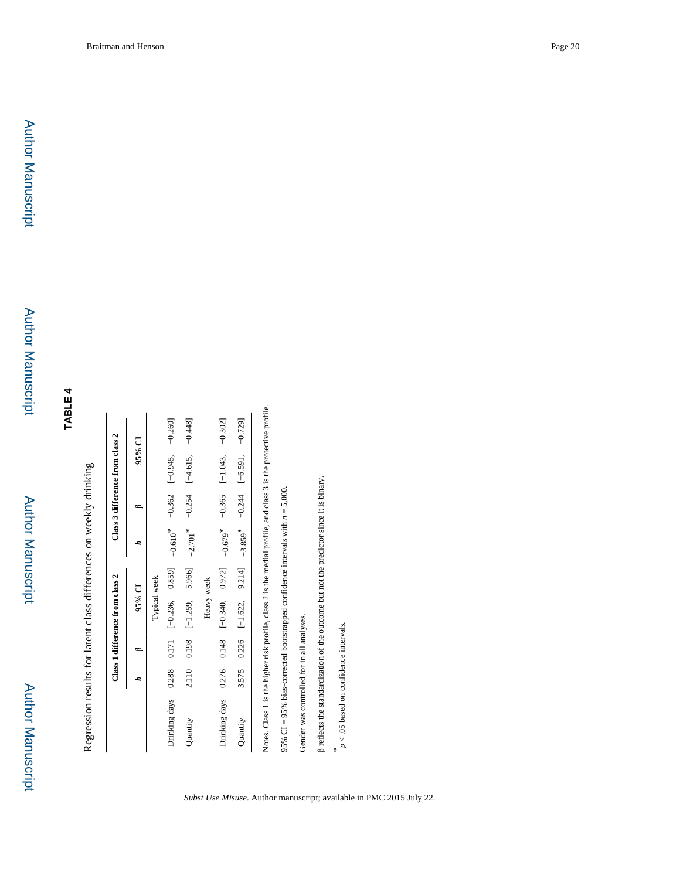# **TABLE 4**

Regression results for latent class differences on weekly drinking Regression results for latent class differences on weekly drinking

|                                                                                                                                                                                                      |       |             | Class 1 difference from class 2   |        |                       |          | Class 3 difference from class 2 |            |
|------------------------------------------------------------------------------------------------------------------------------------------------------------------------------------------------------|-------|-------------|-----------------------------------|--------|-----------------------|----------|---------------------------------|------------|
|                                                                                                                                                                                                      |       |             | 95% CI                            |        |                       | ⋍        | 95% CI                          |            |
|                                                                                                                                                                                                      |       |             | Typical week                      |        |                       |          |                                 |            |
| Drinking days                                                                                                                                                                                        |       | 0.288 0.171 | $[-0.236, 0.859]$                 |        | $-0.610$ <sup>*</sup> | $-0.362$ | $[-0.945,$                      | $-0.260$   |
| Quantity                                                                                                                                                                                             | 2.110 |             | $0.198$ $[-1.259,$                | 5.966] | $-2.701$ <sup>*</sup> | $-0.254$ | $[-4.615,$                      | $-0.448$ ] |
|                                                                                                                                                                                                      |       |             | Heavy week                        |        |                       |          |                                 |            |
| Drinking days                                                                                                                                                                                        | 0.276 | 0.148       | $[-0.340, 0.972]$                 |        | $-0.679$ <sup>*</sup> | $-0.365$ | $[-1.043,$                      | $-0.302$   |
| Quantity                                                                                                                                                                                             |       |             | $3.575$ $0.226$ $[-1.622, 9.214]$ |        | $-3.859$ <sup>*</sup> |          | $-0.244$ [-6.591,               | $-0.729$   |
| Notes. Class 1 is the higher risk profile, class 2 is the medial profile, and class 3 is the protective profile.<br>95% CI = 95% bias-corrected bootstrapped confidence intervals with $n = 5,000$ . |       |             |                                   |        |                       |          |                                 |            |
| Gender was controlled for in all analyses                                                                                                                                                            |       |             |                                   |        |                       |          |                                 |            |

Gender was controlled for in all analyses.

*Subst Use Misuse*. Author manuscript; available in PMC 2015 July 22.

β reflects the standardization of the outcome but not the predictor since it is binary. β reflects the standardization of the outcome but not the predictor since it is binary.

*\* p* < .05 based on confidence intervals.